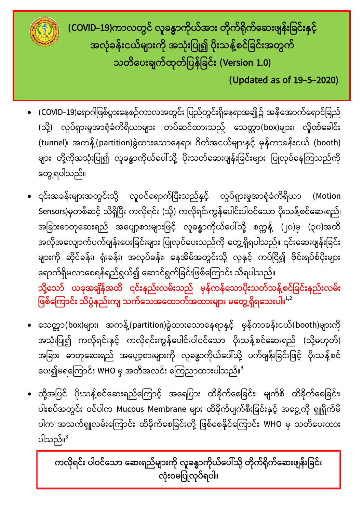

**(COVID-19)ကာလတွင် လူခန္ဓာကိုယ်အာဵ တိုက်ရိုက်ေဆဵဖျန်ဵြခင်ဵနှင်ဴ အလုဳခန်ဵငယ်မျာဵကို အသုဳဵြပု၍ ပိုဵသန့်စင်ြခင်ဵအတွက် သတိေပဵချက်ထုတ်ြပန်ြခင်ဵ (Version 1.0)**

 **(Updated as of 19-5-2020)**

- $\bullet$  (COVID–19)ရောဂါဖြစ်ပွားနေစဉ်ကာလအတွင်း ပြည်တွင်းရှိနေရာအချို့၌ အနီအောက်ရောင်ခြည် (သို့) လှုပ်ရှားမှုအာရုံခံကိရိယာများ တပ်ဆင်ထားသည့် သေတ္တာ(box)များ၊ လှိုဏ်ခေါင်း (tunnel)၊ အကန့်(partition)ခွဲထားသောနေရာ၊ ဂိတ်အငယ်များနှင့် မှန်ကာခန်းငယ် (booth) များ တို့ကိုအသုံးပြု၍ လူခန္ဓာကိုယ်ပေါ်သို့ ပိုးသတ်ဆေးဖျန်းခြင်းများ ပြုလုပ်နေကြသည်ကို တွေ့ရပါသည်။
- ၎င်းအခန်းများအတွင်းသို့ လူဝင်ရောက်ပြီးသည်နှင့် လူပ်ရှားမှုအာရုံခံကိရိယာ (Motion Sensors)မှတစ်ဆင့် သိရှိပြီး ကလိုရင်း (သို့) ကလိုရင်းကွန်ပေါင်းပါဝင်သော ပိုးသန့်စင်ဆေးရည်၊ အခြားဓာတုဆေးရည် အပျော့စားများဖြင့် လူခန္ဓာကိုယ်ပေါ်သို့ စက္ကန့် (၂၀)မှ (၃၀)အထိ အလိုအလျောက်ပက်ဖျန်းပေးခြင်းများ ပြုလုပ်ပေးသည်ကို တွေ့ရှိရပါသည်။ ၎င်းဆေးဖျန်းခြင်း များကို ဆိုင်ခန်း၊ ရုံးခန်း၊ အလုပ်ခန်း၊ နေအိမ်အတွင်းသို့ လူနှင့် ကပ်ငြိ၍ ဗိုင်းရပ်စ်ပိုးများ ရောက်ရှိမလာစေရန်ရည်ရွယ်၍ ဆောင်ရွက်ခြင်းဖြစ်ကြောင်း သိရပါသည်။ သို့သော် ယခုအချိန်အထိ ၎င်းနည်းလမ်းသည် မှန်ကန်သောပိုးသတ်သန့်စင်ခြင်းနည်းလမ်း ဖြစ်ကြောင်း သိပ္ပံနည်းကျ သက်သေအထောက်အထားများ မတွေ့ရှိရသေးပါ။<sup>1,2</sup>
- သေတ္တာ(box)များ၊ အကန့်(partition)ခွဲထားသောနေရာနှင့် မှန်ကာခန်းငယ်(booth)များကို အသုံးပြု၍ ကလိုရင်းနှင့် ကလိုရင်းကွန်ပေါင်းပါဝင်သော ပိုးသန့်စင်ဆေးရည် (သို့မဟုတ်) အခြား ဓာတုဆေးရည် အပျော့စားများကို လူခန္ဓာကိုယ်ပေါ်သို့ ပက်ဖျန်းခြင်းဖြင့် ပိုးသန့်စင် ပေး၍မရကြောင်း WHO မှ အတိအလင်း ကြေညာထားပါသည်။<sup>3</sup>
- ထို့အပြင် ပိုးသန့်စင်ဆေးရည်ကြောင့် အရေပြား ထိခိုက်စေခြင်း၊ မျက်စိ ထိခိုက်စေခြင်း၊ ပါးစပ်အတွင်း ဝင်ပါက Mucous Membrane များ ထိခိုက်ပျက်စီးခြင်းနှင့် အငွေ့ကို ရှူရှိုက်မိ ပါက အသက်ရှူလမ်းကြောင်း ထိခိုက်စေခြင်းတို့ ဖြစ်စေနိုင်ကြောင်း WHO မှ သတိပေးထား ပါသည်။<sup>3</sup>

**ကလိုရင်ဵ ပါဝင်ေသာ ေဆဵရည်မျာဵကို လူခန္ဓာကိုယ်ေပါ်သို့ တိုက်ရိုက်ေဆဵဖျန်ဵြခင်ဵ** လုံးဝမပြုလုပ်ရပါ။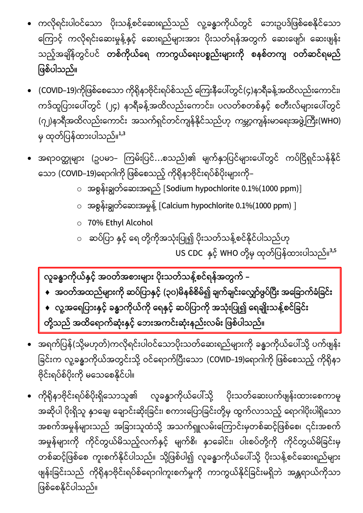- ကလိုရင်းပါဝင်သော ပိုးသန့်စင်ဆေးရည်သည် လူ့ခန္ဓာကိုယ်တွင် ဘေးဥပဒ်ဖြစ်စေနိုင်သော ကြောင့် ကလိုရင်းဆေးမှုန့်နှင့် ဆေးရည်များအား ပိုးသတ်ရန်အတွက် ဆေးဖျော်၊ ဆေးဖျန်း သည့်အချိန်တွင်ပင် <mark>တစ်ကိုယ်ရေ ကာကွယ်ရေးပစ္စည်းများကို စနစ်တကျ ဝတ်ဆင်ရမည</mark>် ဖြစ်ပါသည်။
- (COVID–19)ကိုဖြစ်စေသော ကိုရိုနာဗိုင်းရပ်စ်သည် ကြေးနီပေါ်တွင်(၄)နာရီခန့်အထိလည်းကောင်း၊ ကဒ်ထူပြားပေါ်တွင် (၂၄) နာရီခန့်အထိလည်းကောင်း၊ ပလတ်စတစ်နှင့် စတီးလ်များပေါ်တွင် (၇၂)နာရီအထိလည်းကောင်း အသက်ရှင်တင်ကျန်နိုင်သည်ဟု ကမ္ဘာ့ကျန်းမာရေးအဖွဲ့ကြီး(WHO) မှ ထုတ်ပြန်ထားပါသည်။<sup>1,3</sup>
- အရာဝတ္ထုများ (ဥပမာ– ကြမ်းပြင်...စသည်)၏ မျက်နှာပြင်များပေါ်တွင် ကပ်ငြိရှင်သန်နိုင် သော (COVID–19)ရောဂါကို ဖြစ်စေသည့် ကိုရိုနာဗိုင်းရပ်စ်ပိုးများကို–
	- $\circ$  အစွန်းချွတ်ဆေးအရည် [Sodium hypochlorite 0.1%(1000 ppm)]
	- $\circ$  အစွန်းချွတ်ဆေးအမှုန့် [Calcium hypochlorite 0.1%(1000 ppm) ]
	- o 70% Ethyl Alcohol
	- ဆပ်ပြာ နှင့် ရေ တို့ကိုအသုံးပြု၍ ပိုးသတ်သန့်စင်နိုင်ပါသည်ဟု

US CDC နှင့် WHO တို့မှ ထုတ်ပြန်ထားပါသည်။<sup>3,5</sup>

**လူခန္ဓာကိုယ်နှငဴ် အဝတ်အစာဵမျာဵ ပိုဵသတ်သန့်စင ်ရန်အတွက် -**

- **အဝတ်အထည်မျာဵကို ဆပ်ြပာနှင်ဴ (၃၀)မိနစ်စိမ်၍ ချက်ချင်ဵေလျှော်ဖွပ်ပပီဵ အေြခာက်ခဳြခင်ဵ**
- ◆ လူ့အရေပြားနှင့် ခန္ဓာကိုယ်ကို ရေနှင့် ဆပ်ပြာကို အသုံးပြု၍ ရေချိုးသန့်စင်ခြင်း **တို့သည် အထ ိေရာက်ဆုဳဵနှငဴ် ေဘဵအကင်ဵဆုဳဵနည်ဵလမ်ဵ ြဖစ်ပါသည်။**
- အရက်ပြန်(သို့မဟုတ်)ကလိုရင်းပါဝင်သောပိုးသတ်ဆေးရည်များကို ခန္ဓာကိုယ်ပေါ်သို့ ပက်ဖျန်း ခြင်းက လူ့ခန္ဓာကိုယ်အတွင်းသို့ ဝင်ရောက်ပြီးသော (COVID–19)ရောဂါကို ဖြစ်စေသည့် ကိုရိုနာ ဗိုင်းရပ်စ်ပိုးကို မသေစေနိုင်ပါ။
- ကိုရိုနာဗိုင်းရပ်စ်ပိုးရှိသောသူ၏ လူခန္ဓာကိုယ်ပေါ်သို့ ပိုးသတ်ဆေးပက်ဖျန်းထားစေကာမူ အဆိုပါ ပိုးရှိသူ နှာချေ၊ ချောင်းဆိုးခြင်း၊ စကားပြောခြင်းတို့မှ ထွက်လာသည့် ရောဂါပိုးပါရှိသော အစက်အမှုန်များသည် အခြားသူထံသို့ အသက်ရှူလမ်းကြောင်းမှတစ်ဆင့်ဖြစ်စေ၊ ၎င်းအစက် အမှုန်များကို ကိုင်တွယ်မိသည့်လက်နှင့် မျက်စိ၊ နှာခေါင်း၊ ပါးစပ်တို့ကို ကိုင်တွယ်မိခြင်းမှ တစ်ဆင့်ဖြစ်စေ ကူးစက်နိုင်ပါသည်။ သို့ဖြစ်ပါ၍ လူခန္ဓာကိုယ်ပေါ်သို့ ပိုးသန့်စင်ဆေးရည်များ ဖျန်းခြင်းသည် ကိုရိုနာဗိုင်းရပ်စ်ရောဂါကူးစက်မှုကို ကာကွယ်နိုင်ခြင်းမရှိဘဲ အန္တရာယ်ကိုသာ ဖြစ်စေနိုင်ပါသည်။ l